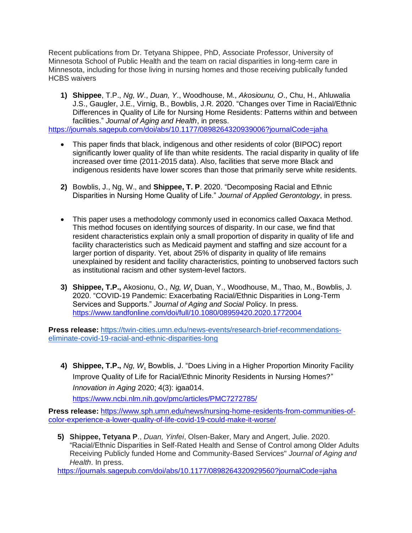Recent publications from Dr. Tetyana Shippee, PhD, Associate Professor, University of Minnesota School of Public Health and the team on racial disparities in long-term care in Minnesota, including for those living in nursing homes and those receiving publically funded HCBS waivers

**1) Shippee**, T.P., *Ng, W*., *Duan, Y*., Woodhouse, M., *Akosiounu, O*., Chu, H., Ahluwalia J.S., Gaugler, J.E., Virnig, B., Bowblis, J.R. 2020. "Changes over Time in Racial/Ethnic Differences in Quality of Life for Nursing Home Residents: Patterns within and between facilities." *Journal of Aging and Health*, in press.

<https://journals.sagepub.com/doi/abs/10.1177/0898264320939006?journalCode=jaha>

- This paper finds that black, indigenous and other residents of color (BIPOC) report significantly lower quality of life than white residents. The racial disparity in quality of life increased over time (2011-2015 data). Also, facilities that serve more Black and indigenous residents have lower scores than those that primarily serve white residents.
- **2)** Bowblis, J., Ng, W., and **Shippee, T. P**. 2020. "Decomposing Racial and Ethnic Disparities in Nursing Home Quality of Life." *Journal of Applied Gerontology*, in press.
- This paper uses a methodology commonly used in economics called Oaxaca Method. This method focuses on identifying sources of disparity. In our case, we find that resident characteristics explain only a small proportion of disparity in quality of life and facility characteristics such as Medicaid payment and staffing and size account for a larger portion of disparity. Yet, about 25% of disparity in quality of life remains unexplained by resident and facility characteristics, pointing to unobserved factors such as institutional racism and other system-level factors.
- **3) Shippee, T.P.,** Akosionu, O., *Ng, W*, Duan, Y., Woodhouse, M., Thao, M., Bowblis, J. 2020. "COVID-19 Pandemic: Exacerbating Racial/Ethnic Disparities in Long-Term Services and Supports." *Journal of Aging and Social* Policy. In press. <https://www.tandfonline.com/doi/full/10.1080/08959420.2020.1772004>

**Press release:** [https://twin-cities.umn.edu/news-events/research-brief-recommendations](https://twin-cities.umn.edu/news-events/research-brief-recommendations-eliminate-covid-19-racial-and-ethnic-disparities-long)[eliminate-covid-19-racial-and-ethnic-disparities-long](https://twin-cities.umn.edu/news-events/research-brief-recommendations-eliminate-covid-19-racial-and-ethnic-disparities-long) 

**4) Shippee, T.P.,** *Ng, W*, Bowblis, J. "Does Living in a Higher Proportion Minority Facility Improve Quality of Life for Racial/Ethnic Minority Residents in Nursing Homes?" *Innovation in Aging* 2020; 4(3): igaa014.

<https://www.ncbi.nlm.nih.gov/pmc/articles/PMC7272785/>

**Press release:** [https://www.sph.umn.edu/news/nursing-home-residents-from-communities-of](https://www.sph.umn.edu/news/nursing-home-residents-from-communities-of-color-experience-a-lower-quality-of-life-covid-19-could-make-it-worse/)[color-experience-a-lower-quality-of-life-covid-19-could-make-it-worse/](https://www.sph.umn.edu/news/nursing-home-residents-from-communities-of-color-experience-a-lower-quality-of-life-covid-19-could-make-it-worse/)

**5) Shippee, Tetyana P**., *Duan, Yinfei*, Olsen-Baker, Mary and Angert, Julie. 2020. "Racial/Ethnic Disparities in Self-Rated Health and Sense of Control among Older Adults Receiving Publicly funded Home and Community-Based Services" *Journal of Aging and Health*. In press.

<https://journals.sagepub.com/doi/abs/10.1177/0898264320929560?journalCode=jaha>